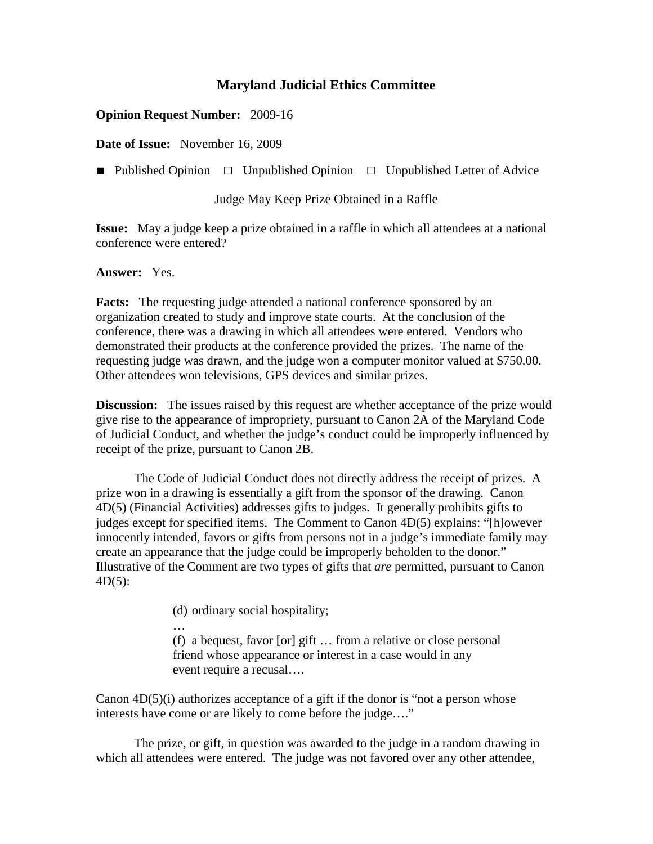## **Maryland Judicial Ethics Committee**

## **Opinion Request Number:** 2009-16

**Date of Issue:** November 16, 2009

**■** Published Opinion □Unpublished Opinion □Unpublished Letter of Advice

Judge May Keep Prize Obtained in a Raffle

**Issue:** May a judge keep a prize obtained in a raffle in which all attendees at a national conference were entered?

## **Answer:** Yes.

**Facts:** The requesting judge attended a national conference sponsored by an organization created to study and improve state courts. At the conclusion of the conference, there was a drawing in which all attendees were entered. Vendors who demonstrated their products at the conference provided the prizes. The name of the requesting judge was drawn, and the judge won a computer monitor valued at \$750.00. Other attendees won televisions, GPS devices and similar prizes.

**Discussion:** The issues raised by this request are whether acceptance of the prize would give rise to the appearance of impropriety, pursuant to Canon 2A of the Maryland Code of Judicial Conduct, and whether the judge's conduct could be improperly influenced by receipt of the prize, pursuant to Canon 2B.

The Code of Judicial Conduct does not directly address the receipt of prizes. A prize won in a drawing is essentially a gift from the sponsor of the drawing. Canon 4D(5) (Financial Activities) addresses gifts to judges. It generally prohibits gifts to judges except for specified items. The Comment to Canon 4D(5) explains: "[h]owever innocently intended, favors or gifts from persons not in a judge's immediate family may create an appearance that the judge could be improperly beholden to the donor." Illustrative of the Comment are two types of gifts that *are* permitted, pursuant to Canon  $4D(5)$ :

(d) ordinary social hospitality;

… (f) a bequest, favor [or] gift … from a relative or close personal friend whose appearance or interest in a case would in any event require a recusal….

Canon 4D(5)(i) authorizes acceptance of a gift if the donor is "not a person whose interests have come or are likely to come before the judge…."

The prize, or gift, in question was awarded to the judge in a random drawing in which all attendees were entered. The judge was not favored over any other attendee,